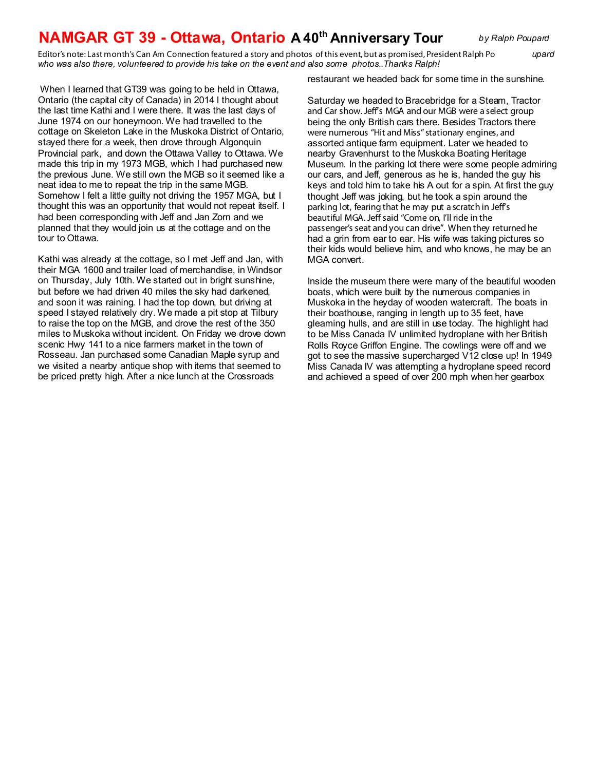## **NAMGAR GT 39 - Ottawa, Ontario A 40th Anniversary Tour** *by Ralph Poupard*

*Editor's note: Last month's Can Am Connection featured a story and photos of this event, but as promised, President Ralph Po upard who was also there, volunteered to provide his take on the event and also some photos..Thanks Ralph!*

When I learned that GT39 was going to be held in Ottawa, Ontario (the capital city of Canada) in 2014 I thought about the last time Kathi and I were there. It was the last days of June 1974 on our honeymoon. We had travelled to the cottage on Skeleton Lake in the Muskoka District of Ontario, stayed there for a week, then drove through Algonquin Provincial park, and down the Ottawa Valley to Ottawa. We made this trip in my 1973 MGB, which I had purchased new the previous June. We still own the MGB so it seemed like a neat idea to me to repeat the trip in the same MGB. Somehow I felt a little guilty not driving the 1957 MGA, but I thought this was an opportunity that would not repeat itself. I had been corresponding with Jeff and Jan Zorn and we planned that they would join us at the cottage and on the tour to Ottawa.

Kathi was already at the cottage, so I met Jeff and Jan, with their MGA 1600 and trailer load of merchandise, in Windsor on Thursday, July 10th. We started out in bright sunshine, but before we had driven 40 miles the sky had darkened, and soon it was raining. I had the top down, but driving at speed I stayed relatively dry. We made a pit stop at Tilbury to raise the top on the MGB, and drove the rest of the 350 miles to Muskoka without incident. On Friday we drove down scenic Hwy 141 to a nice farmers market in the town of Rosseau. Jan purchased some Canadian Maple syrup and we visited a nearby antique shop with items that seemed to be priced pretty high. After a nice lunch at the Crossroads

restaurant we headed back for some time in the sunshine.

Saturday we headed to Bracebridge for a Steam, Tractor and Car show. Jeff's MGA and our MGB were a select group being the only British cars there. Besides Tractors there were numerous "Hit and Miss" stationary engines, and assorted antique farm equipment. Later we headed to nearby Gravenhurst to the Muskoka Boating Heritage Museum. In the parking lot there were some people admiring our cars, and Jeff, generous as he is, handed the guy his keys and told him to take his A out for a spin. At first the guy thought Jeff was joking, but he took a spin around the parking lot, fearing that he may put a scratch in Jeff's beautiful MGA. Jeff said "Come on, I'll ride in the passenger's seat and you can drive". When they returned he had a grin from ear to ear. His wife was taking pictures so their kids would believe him, and who knows, he may be an MGA convert.

Inside the museum there were many of the beautiful wooden boats, which were built by the numerous companies in Muskoka in the heyday of wooden watercraft. The boats in their boathouse, ranging in length up to 35 feet, have gleaming hulls, and are still in use today. The highlight had to be Miss Canada IV unlimited hydroplane with her British Rolls Royce Griffon Engine. The cowlings were off and we got to see the massive supercharged V12 close up! In 1949 Miss Canada IV was attempting a hydroplane speed record and achieved a speed of over 200 mph when her gearbox